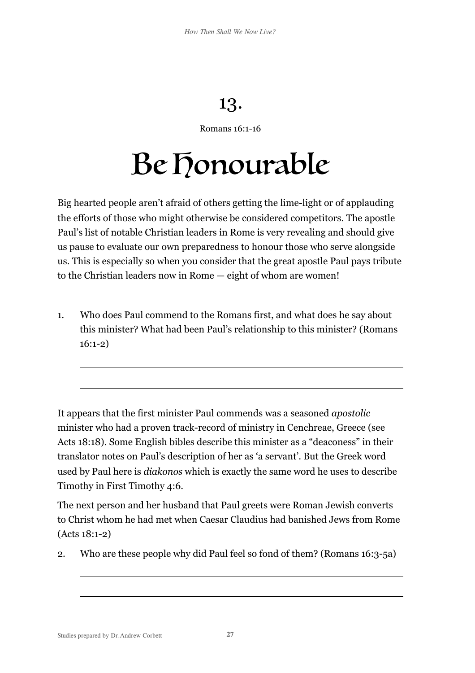## 13.

## Romans 16:1-16

## Be Honourable

Big hearted people aren't afraid of others getting the lime-light or of applauding the efforts of those who might otherwise be considered competitors. The apostle Paul's list of notable Christian leaders in Rome is very revealing and should give us pause to evaluate our own preparedness to honour those who serve alongside us. This is especially so when you consider that the great apostle Paul pays tribute to the Christian leaders now in Rome — eight of whom are women!

1. Who does Paul commend to the Romans first, and what does he say about this minister? What had been Paul's relationship to this minister? (Romans 16:1-2)

It appears that the first minister Paul commends was a seasoned *apostolic* minister who had a proven track-record of ministry in Cenchreae, Greece (see Acts 18:18). Some English bibles describe this minister as a "deaconess" in their translator notes on Paul's description of her as 'a servant'. But the Greek word used by Paul here is *diakonos* which is exactly the same word he uses to describe Timothy in First Timothy 4:6.

The next person and her husband that Paul greets were Roman Jewish converts to Christ whom he had met when Caesar Claudius had banished Jews from Rome (Acts 18:1-2)

2. Who are these people why did Paul feel so fond of them? (Romans 16:3-5a)

 $\overline{a}$ 

 $\overline{a}$